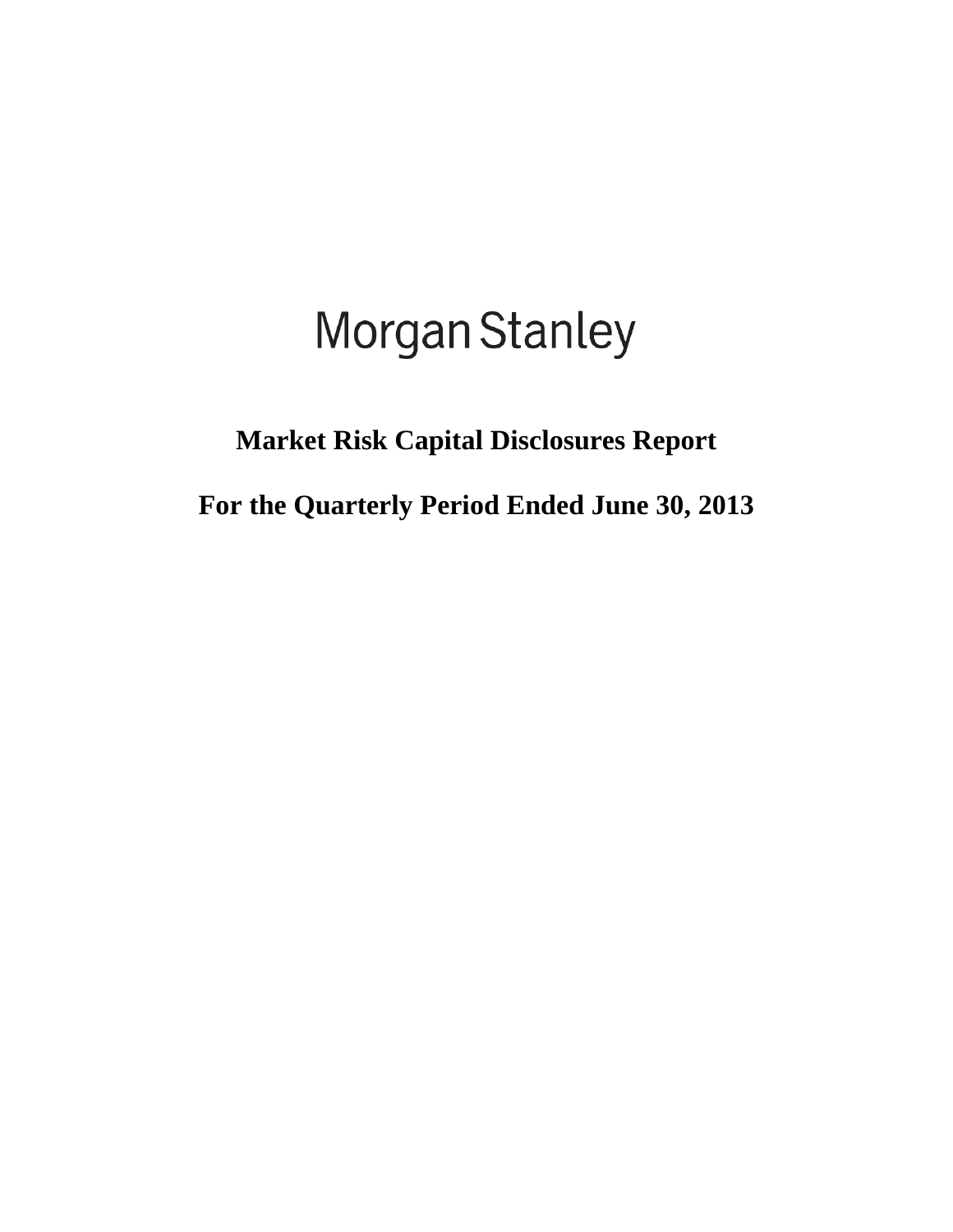# Morgan Stanley

## **Market Risk Capital Disclosures Report**

**For the Quarterly Period Ended June 30, 2013**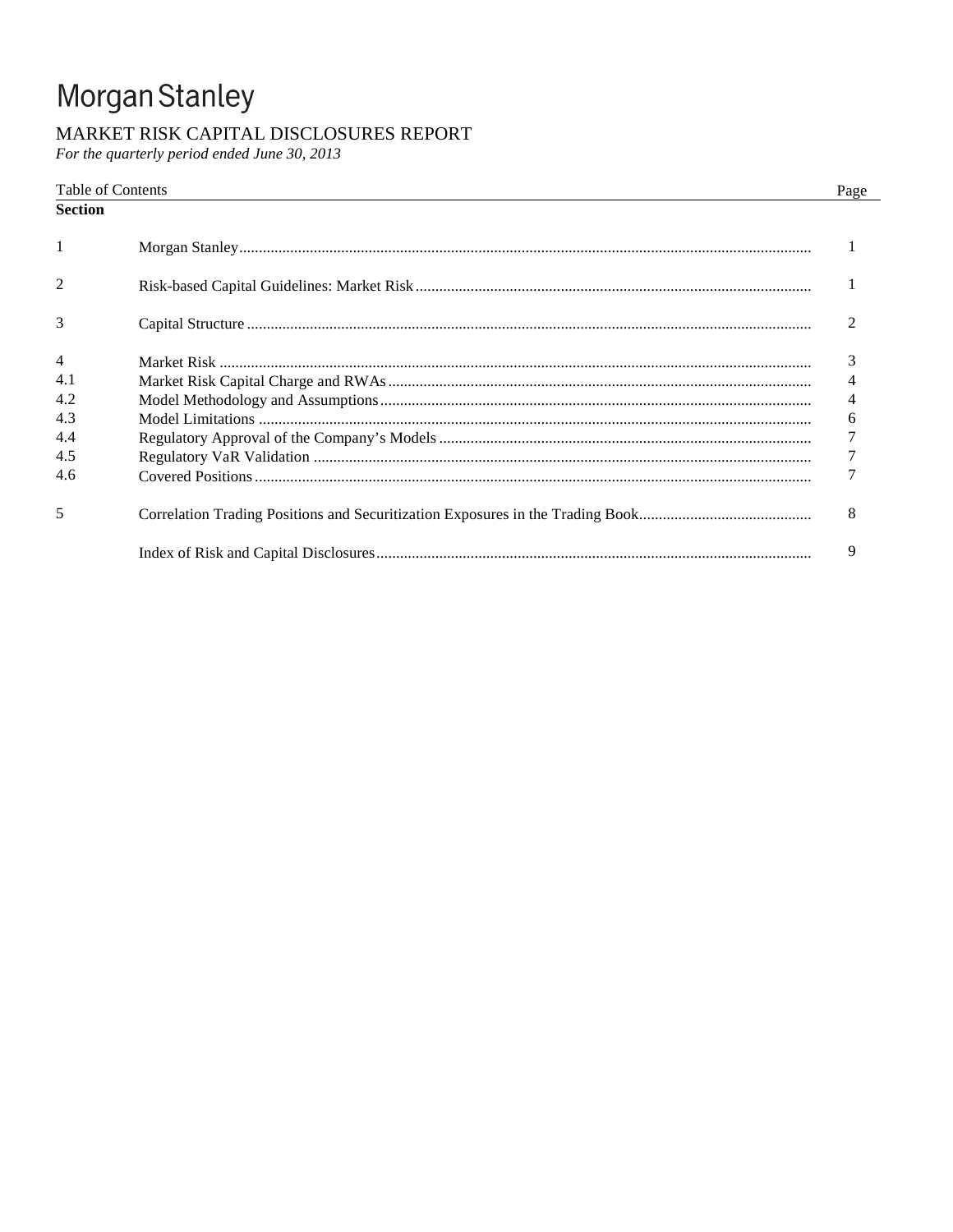## Morgan Stanley

## MARKET RISK CAPITAL DISCLOSURES REPORT

For the quarterly period ended June 30, 2013

## Table of Contents

Page

| Section        |                |
|----------------|----------------|
| 1              |                |
| 2              |                |
| 3              |                |
| $\overline{4}$ | 3              |
| 4.1            | $\overline{4}$ |
| 4.2            | $\overline{4}$ |
| 4.3            | 6              |
| 4.4            | $\overline{7}$ |
| 4.5            | $\overline{7}$ |
| 4.6            | $\tau$         |
| 5              | 8              |
|                | 9              |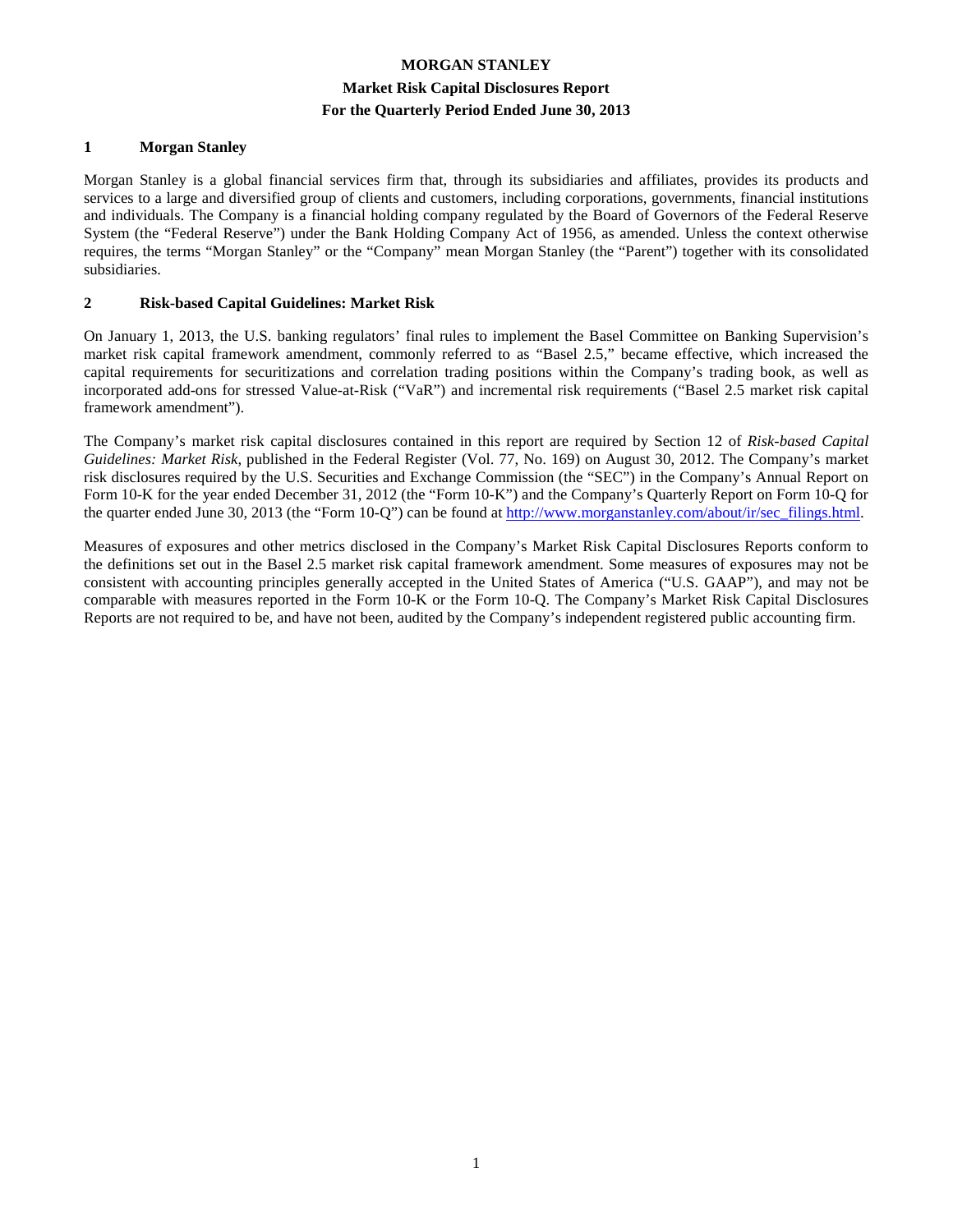## **MORGAN STANLEY Market Risk Capital Disclosures Report For the Quarterly Period Ended June 30, 2013**

#### **1 Morgan Stanley**

Morgan Stanley is a global financial services firm that, through its subsidiaries and affiliates, provides its products and services to a large and diversified group of clients and customers, including corporations, governments, financial institutions and individuals. The Company is a financial holding company regulated by the Board of Governors of the Federal Reserve System (the "Federal Reserve") under the Bank Holding Company Act of 1956, as amended. Unless the context otherwise requires, the terms "Morgan Stanley" or the "Company" mean Morgan Stanley (the "Parent") together with its consolidated subsidiaries.

#### **2 Risk-based Capital Guidelines: Market Risk**

On January 1, 2013, the U.S. banking regulators' final rules to implement the Basel Committee on Banking Supervision's market risk capital framework amendment, commonly referred to as "Basel 2.5," became effective, which increased the capital requirements for securitizations and correlation trading positions within the Company's trading book, as well as incorporated add-ons for stressed Value-at-Risk ("VaR") and incremental risk requirements ("Basel 2.5 market risk capital framework amendment").

The Company's market risk capital disclosures contained in this report are required by Section 12 of *Risk-based Capital Guidelines: Market Risk*, published in the Federal Register (Vol. 77, No. 169) on August 30, 2012. The Company's market risk disclosures required by the U.S. Securities and Exchange Commission (the "SEC") in the Company's Annual Report on Form 10-K for the year ended December 31, 2012 (the "Form 10-K") and the Company's Quarterly Report on Form 10-Q for the quarter ended June 30, 2013 (the "Form 10-Q") can be found at http://www.morganstanley.com/about/ir/sec\_filings.html.

Measures of exposures and other metrics disclosed in the Company's Market Risk Capital Disclosures Reports conform to the definitions set out in the Basel 2.5 market risk capital framework amendment. Some measures of exposures may not be consistent with accounting principles generally accepted in the United States of America ("U.S. GAAP"), and may not be comparable with measures reported in the Form 10-K or the Form 10-Q. The Company's Market Risk Capital Disclosures Reports are not required to be, and have not been, audited by the Company's independent registered public accounting firm.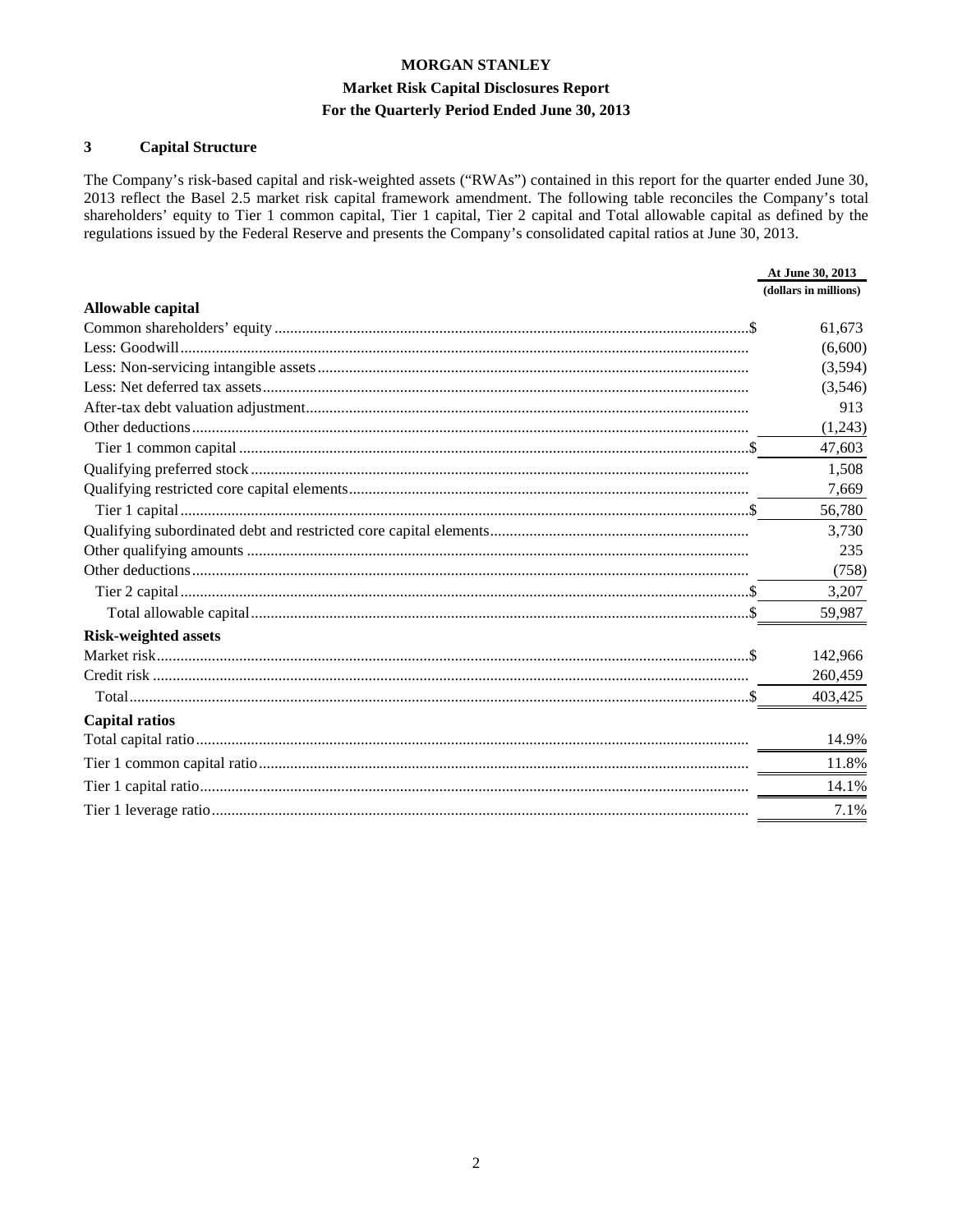## **Market Risk Capital Disclosures Report**

#### For the Quarterly Period Ended June 30, 2013

#### $\overline{\mathbf{3}}$ **Capital Structure**

The Company's risk-based capital and risk-weighted assets ("RWAs") contained in this report for the quarter ended June 30, 2013 reflect the Basel 2.5 market risk capital framework amendment. The following table reconciles the Company's total shareholders' equity to Tier 1 common capital, Tier 1 capital, Tier 2 capital and Total allowable capital as defined by the regulations issued by the Federal Reserve and presents the Company's consolidated capital ratios at June 30, 2013.

|                             | At June 30, 2013      |
|-----------------------------|-----------------------|
|                             | (dollars in millions) |
| Allowable capital           |                       |
|                             | 61,673                |
|                             | (6,600)               |
|                             | (3,594)               |
|                             | (3,546)               |
|                             | 913                   |
|                             | (1,243)               |
|                             | 47,603                |
|                             | 1,508                 |
|                             | 7,669                 |
|                             | 56,780                |
|                             | 3,730                 |
|                             | 235                   |
|                             | (758)                 |
|                             | 3,207                 |
|                             | 59,987                |
| <b>Risk-weighted assets</b> |                       |
|                             | 142,966               |
|                             | 260,459               |
|                             | 403,425               |
| <b>Capital ratios</b>       |                       |
|                             | 14.9%                 |
|                             | 11.8%                 |
|                             | 14.1%                 |
|                             | 7.1%                  |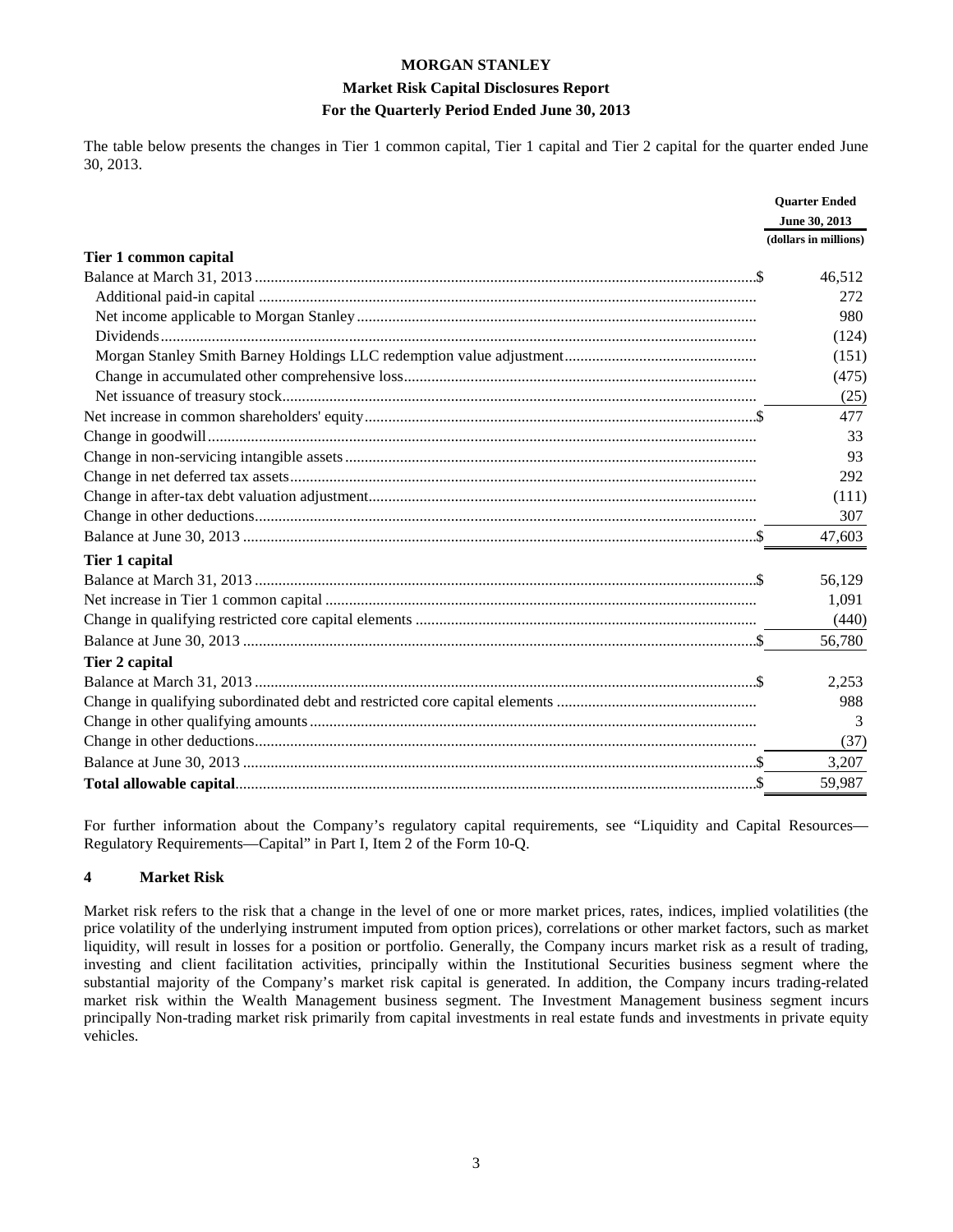#### **Market Risk Capital Disclosures Report For the Quarterly Period Ended June 30, 2013**

The table below presents the changes in Tier 1 common capital, Tier 1 capital and Tier 2 capital for the quarter ended June 30, 2013.

|                       | <b>Ouarter Ended</b>  |
|-----------------------|-----------------------|
|                       | June 30, 2013         |
|                       | (dollars in millions) |
| Tier 1 common capital |                       |
|                       | 46,512                |
|                       | 272                   |
|                       | 980                   |
|                       | (124)                 |
|                       | (151)                 |
|                       | (475)                 |
|                       | (25)                  |
|                       | 477                   |
|                       | 33                    |
|                       | 93                    |
|                       | 292                   |
|                       | (111)                 |
|                       | 307                   |
|                       | 47,603                |
| Tier 1 capital        |                       |
|                       | 56,129                |
|                       | 1,091                 |
|                       | (440)                 |
|                       | 56,780                |
| Tier 2 capital        |                       |
|                       | 2,253                 |
|                       | 988                   |
|                       | 3                     |
|                       | (37)                  |
|                       | 3,207                 |
|                       | 59,987                |

For further information about the Company's regulatory capital requirements, see "Liquidity and Capital Resources— Regulatory Requirements—Capital" in Part I, Item 2 of the Form 10-Q.

#### **4 Market Risk**

Market risk refers to the risk that a change in the level of one or more market prices, rates, indices, implied volatilities (the price volatility of the underlying instrument imputed from option prices), correlations or other market factors, such as market liquidity, will result in losses for a position or portfolio. Generally, the Company incurs market risk as a result of trading, investing and client facilitation activities, principally within the Institutional Securities business segment where the substantial majority of the Company's market risk capital is generated. In addition, the Company incurs trading-related market risk within the Wealth Management business segment. The Investment Management business segment incurs principally Non-trading market risk primarily from capital investments in real estate funds and investments in private equity vehicles.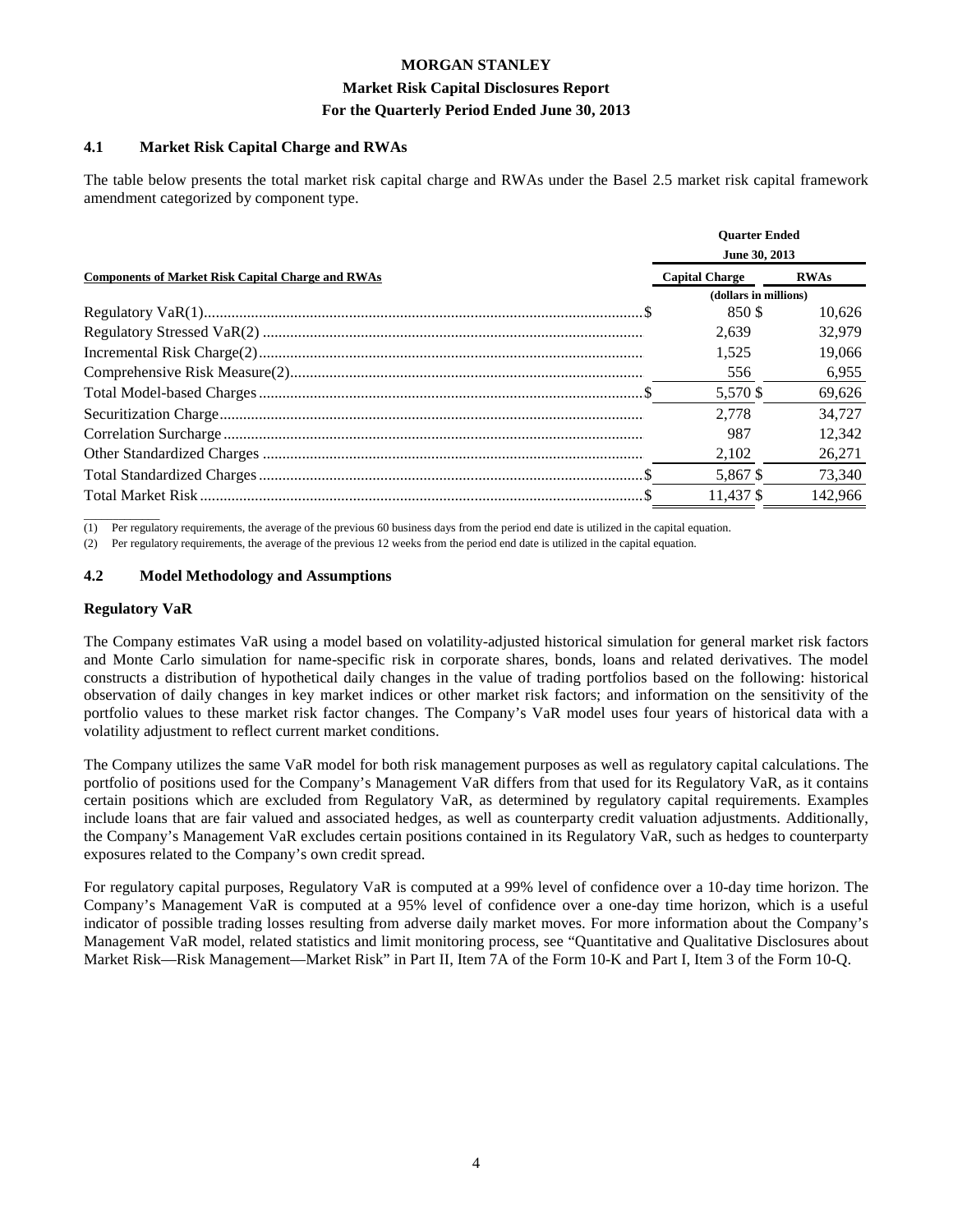#### **Market Risk Capital Disclosures Report For the Quarterly Period Ended June 30, 2013**

#### **4.1 Market Risk Capital Charge and RWAs**

The table below presents the total market risk capital charge and RWAs under the Basel 2.5 market risk capital framework amendment categorized by component type.

|                                                          | <b>Ouarter Ended</b><br>June 30, 2013 |             |  |
|----------------------------------------------------------|---------------------------------------|-------------|--|
| <b>Components of Market Risk Capital Charge and RWAs</b> | <b>Capital Charge</b>                 | <b>RWAs</b> |  |
|                                                          | (dollars in millions)                 |             |  |
|                                                          | 850\$                                 | 10.626      |  |
|                                                          | 2.639                                 | 32,979      |  |
|                                                          | 1.525                                 | 19,066      |  |
|                                                          | 556                                   | 6,955       |  |
|                                                          | 5,570 \$                              | 69,626      |  |
|                                                          | 2.778                                 | 34.727      |  |
|                                                          | 987                                   | 12,342      |  |
|                                                          | 2,102                                 | 26,271      |  |
|                                                          | 5,867 \$                              | 73,340      |  |
|                                                          | 11.437 \$                             | 142.966     |  |

 $\overline{\phantom{a}}$  , where  $\overline{\phantom{a}}$ (1) Per regulatory requirements, the average of the previous 60 business days from the period end date is utilized in the capital equation.

(2) Per regulatory requirements, the average of the previous 12 weeks from the period end date is utilized in the capital equation.

#### **4.2 Model Methodology and Assumptions**

#### **Regulatory VaR**

The Company estimates VaR using a model based on volatility-adjusted historical simulation for general market risk factors and Monte Carlo simulation for name-specific risk in corporate shares, bonds, loans and related derivatives. The model constructs a distribution of hypothetical daily changes in the value of trading portfolios based on the following: historical observation of daily changes in key market indices or other market risk factors; and information on the sensitivity of the portfolio values to these market risk factor changes. The Company's VaR model uses four years of historical data with a volatility adjustment to reflect current market conditions.

The Company utilizes the same VaR model for both risk management purposes as well as regulatory capital calculations. The portfolio of positions used for the Company's Management VaR differs from that used for its Regulatory VaR, as it contains certain positions which are excluded from Regulatory VaR, as determined by regulatory capital requirements. Examples include loans that are fair valued and associated hedges, as well as counterparty credit valuation adjustments. Additionally, the Company's Management VaR excludes certain positions contained in its Regulatory VaR, such as hedges to counterparty exposures related to the Company's own credit spread.

For regulatory capital purposes, Regulatory VaR is computed at a 99% level of confidence over a 10-day time horizon. The Company's Management VaR is computed at a 95% level of confidence over a one-day time horizon, which is a useful indicator of possible trading losses resulting from adverse daily market moves. For more information about the Company's Management VaR model, related statistics and limit monitoring process, see "Quantitative and Qualitative Disclosures about Market Risk—Risk Management—Market Risk" in Part II, Item 7A of the Form 10-K and Part I, Item 3 of the Form 10-Q.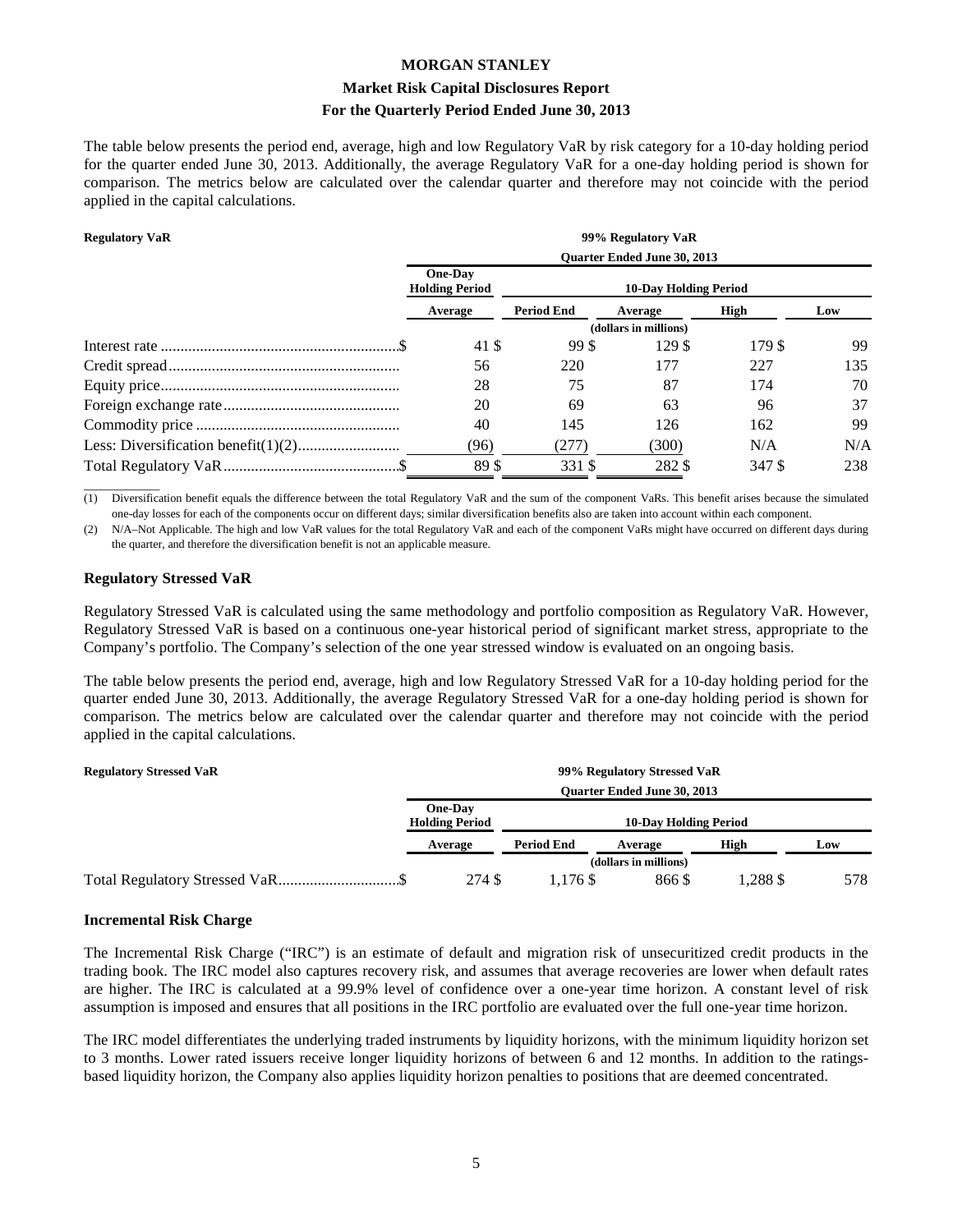#### **Market Risk Capital Disclosures Report For the Quarterly Period Ended June 30, 2013**

The table below presents the period end, average, high and low Regulatory VaR by risk category for a 10-day holding period for the quarter ended June 30, 2013. Additionally, the average Regulatory VaR for a one-day holding period is shown for comparison. The metrics below are calculated over the calendar quarter and therefore may not coincide with the period applied in the capital calculations.

#### **Regulatory VaR 99% Regulatory VaR**

| $\mathbf{R}$ | $2270$ in Equatory $\frac{1}{2}$        |                   |                              |        |     |  |
|--------------|-----------------------------------------|-------------------|------------------------------|--------|-----|--|
|              | <b>Ouarter Ended June 30, 2013</b>      |                   |                              |        |     |  |
|              | <b>One-Day</b><br><b>Holding Period</b> |                   | <b>10-Day Holding Period</b> |        |     |  |
|              | Average                                 | <b>Period End</b> | Average                      | High   | Low |  |
|              |                                         |                   | (dollars in millions)        |        |     |  |
|              | 41 \$                                   | 99 S              | 129 \$                       | 179 \$ | 99  |  |
|              | 56                                      | 220               | 177                          | 227    | 135 |  |
|              | 28                                      | 75                | 87                           | 174    | 70  |  |
|              | 20                                      | 69                | 63                           | 96     | 37  |  |
|              | 40                                      | 145               | 126                          | 162    | 99  |  |
|              | 96)                                     | (277)             | (300)                        | N/A    | N/A |  |
|              | 89\$                                    | 331 S             | 282 \$                       | 347 S  | 238 |  |

 $\overline{\phantom{a}}$  , where  $\overline{\phantom{a}}$ (1) Diversification benefit equals the difference between the total Regulatory VaR and the sum of the component VaRs. This benefit arises because the simulated one-day losses for each of the components occur on different days; similar diversification benefits also are taken into account within each component.

(2) N/A–Not Applicable. The high and low VaR values for the total Regulatory VaR and each of the component VaRs might have occurred on different days during the quarter, and therefore the diversification benefit is not an applicable measure.

#### **Regulatory Stressed VaR**

Regulatory Stressed VaR is calculated using the same methodology and portfolio composition as Regulatory VaR. However, Regulatory Stressed VaR is based on a continuous one-year historical period of significant market stress, appropriate to the Company's portfolio. The Company's selection of the one year stressed window is evaluated on an ongoing basis.

The table below presents the period end, average, high and low Regulatory Stressed VaR for a 10-day holding period for the quarter ended June 30, 2013. Additionally, the average Regulatory Stressed VaR for a one-day holding period is shown for comparison. The metrics below are calculated over the calendar quarter and therefore may not coincide with the period applied in the capital calculations.

| <b>Regulatory Stressed VaR</b> |                                                                         |                   | 99% Regulatory Stressed VaR        |        |     |
|--------------------------------|-------------------------------------------------------------------------|-------------------|------------------------------------|--------|-----|
|                                |                                                                         |                   | <b>Ouarter Ended June 30, 2013</b> |        |     |
|                                | <b>One-Day</b><br><b>Holding Period</b><br><b>10-Day Holding Period</b> |                   |                                    |        |     |
|                                | Average                                                                 | <b>Period End</b> | Average                            | High   | Low |
|                                |                                                                         |                   | (dollars in millions)              |        |     |
|                                | 274 \$                                                                  | l.176 \$          | 866\$                              | 1.288S | 578 |

#### **Incremental Risk Charge**

The Incremental Risk Charge ("IRC") is an estimate of default and migration risk of unsecuritized credit products in the trading book. The IRC model also captures recovery risk, and assumes that average recoveries are lower when default rates are higher. The IRC is calculated at a 99.9% level of confidence over a one-year time horizon. A constant level of risk assumption is imposed and ensures that all positions in the IRC portfolio are evaluated over the full one-year time horizon.

The IRC model differentiates the underlying traded instruments by liquidity horizons, with the minimum liquidity horizon set to 3 months. Lower rated issuers receive longer liquidity horizons of between 6 and 12 months. In addition to the ratingsbased liquidity horizon, the Company also applies liquidity horizon penalties to positions that are deemed concentrated.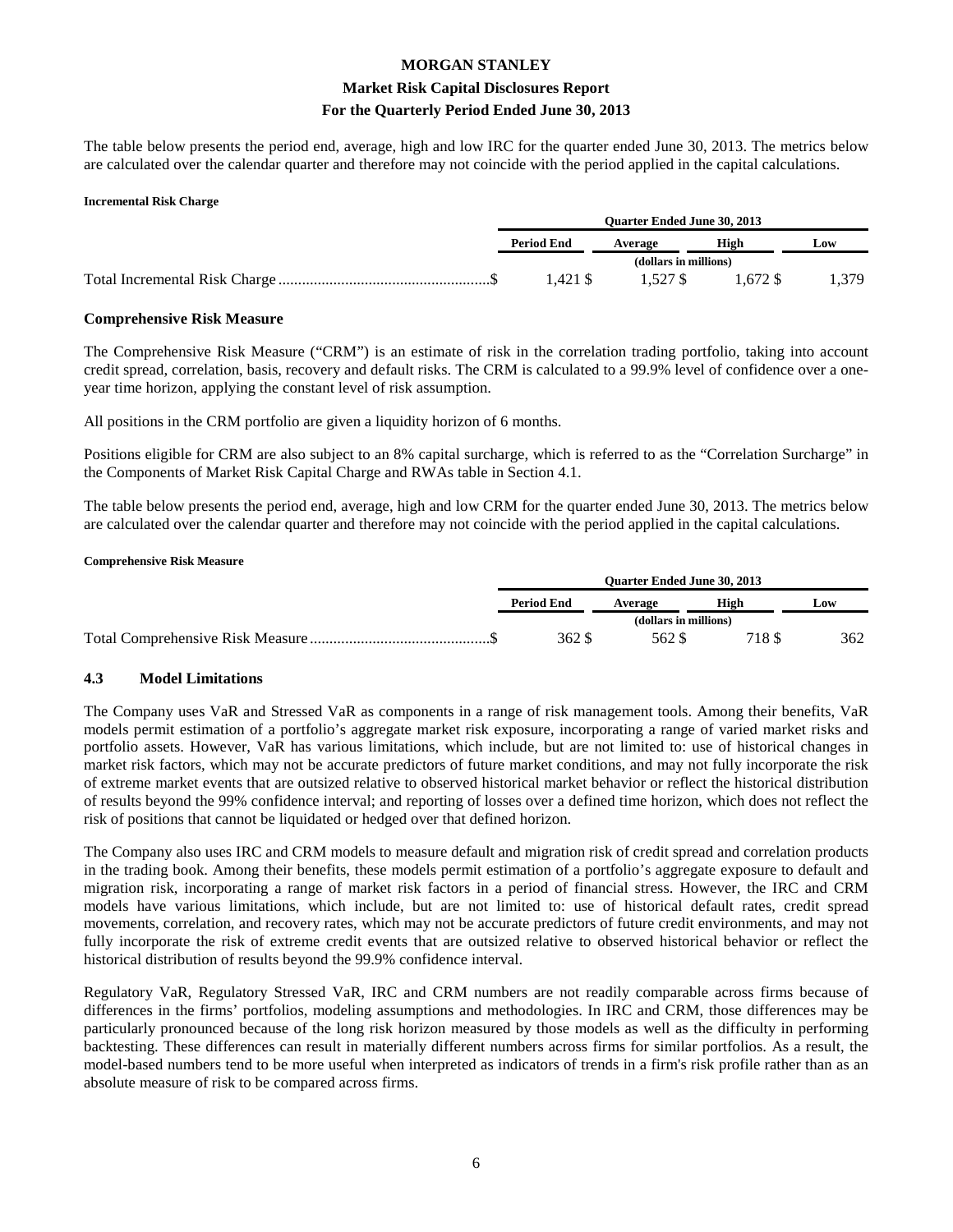#### **Market Risk Capital Disclosures Report For the Quarterly Period Ended June 30, 2013**

The table below presents the period end, average, high and low IRC for the quarter ended June 30, 2013. The metrics below are calculated over the calendar quarter and therefore may not coincide with the period applied in the capital calculations.

#### **Incremental Risk Charge**

| <b>Ouarter Ended June 30, 2013</b> |                       |            |       |
|------------------------------------|-----------------------|------------|-------|
| <b>Period End</b>                  | Average               | High       | Low   |
|                                    | (dollars in millions) |            |       |
| l.421 \$                           | 1.527 \$              | $1.672$ \$ | 1.379 |

#### **Comprehensive Risk Measure**

The Comprehensive Risk Measure ("CRM") is an estimate of risk in the correlation trading portfolio, taking into account credit spread, correlation, basis, recovery and default risks. The CRM is calculated to a 99.9% level of confidence over a oneyear time horizon, applying the constant level of risk assumption.

All positions in the CRM portfolio are given a liquidity horizon of 6 months.

Positions eligible for CRM are also subject to an 8% capital surcharge, which is referred to as the "Correlation Surcharge" in the Components of Market Risk Capital Charge and RWAs table in Section 4.1.

The table below presents the period end, average, high and low CRM for the quarter ended June 30, 2013. The metrics below are calculated over the calendar quarter and therefore may not coincide with the period applied in the capital calculations.

#### **Comprehensive Risk Measure**

| <b>Ouarter Ended June 30, 2013</b> |                       |       |     |
|------------------------------------|-----------------------|-------|-----|
| <b>Period End</b>                  | Average               | High  | Low |
|                                    | (dollars in millions) |       |     |
| 362 S                              | 562 \$                | 718 S | 362 |

#### **4.3 Model Limitations**

The Company uses VaR and Stressed VaR as components in a range of risk management tools. Among their benefits, VaR models permit estimation of a portfolio's aggregate market risk exposure, incorporating a range of varied market risks and portfolio assets. However, VaR has various limitations, which include, but are not limited to: use of historical changes in market risk factors, which may not be accurate predictors of future market conditions, and may not fully incorporate the risk of extreme market events that are outsized relative to observed historical market behavior or reflect the historical distribution of results beyond the 99% confidence interval; and reporting of losses over a defined time horizon, which does not reflect the risk of positions that cannot be liquidated or hedged over that defined horizon.

The Company also uses IRC and CRM models to measure default and migration risk of credit spread and correlation products in the trading book. Among their benefits, these models permit estimation of a portfolio's aggregate exposure to default and migration risk, incorporating a range of market risk factors in a period of financial stress. However, the IRC and CRM models have various limitations, which include, but are not limited to: use of historical default rates, credit spread movements, correlation, and recovery rates, which may not be accurate predictors of future credit environments, and may not fully incorporate the risk of extreme credit events that are outsized relative to observed historical behavior or reflect the historical distribution of results beyond the 99.9% confidence interval.

Regulatory VaR, Regulatory Stressed VaR, IRC and CRM numbers are not readily comparable across firms because of differences in the firms' portfolios, modeling assumptions and methodologies. In IRC and CRM, those differences may be particularly pronounced because of the long risk horizon measured by those models as well as the difficulty in performing backtesting. These differences can result in materially different numbers across firms for similar portfolios. As a result, the model-based numbers tend to be more useful when interpreted as indicators of trends in a firm's risk profile rather than as an absolute measure of risk to be compared across firms.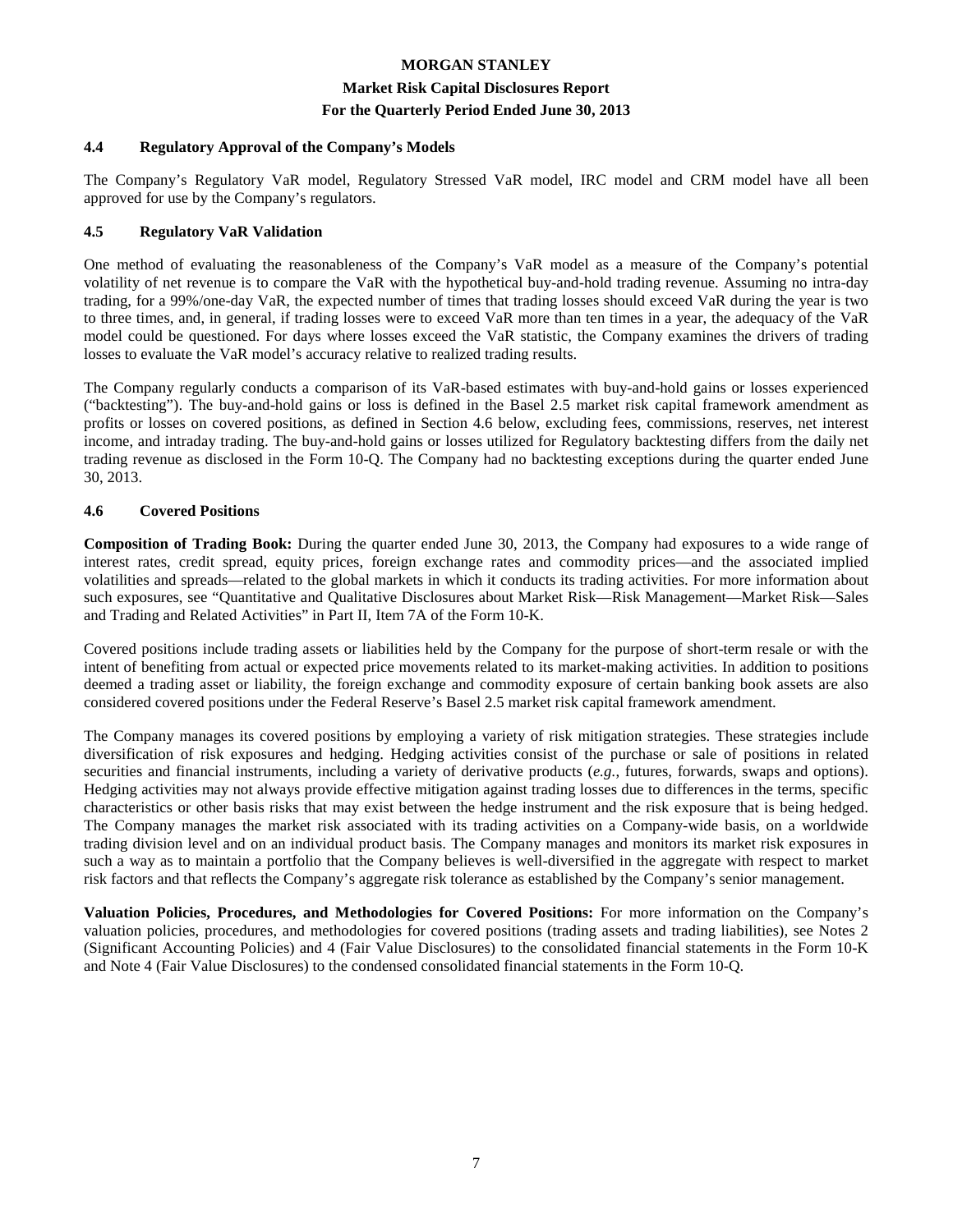#### **Market Risk Capital Disclosures Report**

#### **For the Quarterly Period Ended June 30, 2013**

#### **4.4 Regulatory Approval of the Company's Models**

The Company's Regulatory VaR model, Regulatory Stressed VaR model, IRC model and CRM model have all been approved for use by the Company's regulators.

#### **4.5 Regulatory VaR Validation**

One method of evaluating the reasonableness of the Company's VaR model as a measure of the Company's potential volatility of net revenue is to compare the VaR with the hypothetical buy-and-hold trading revenue. Assuming no intra-day trading, for a 99%/one-day VaR, the expected number of times that trading losses should exceed VaR during the year is two to three times, and, in general, if trading losses were to exceed VaR more than ten times in a year, the adequacy of the VaR model could be questioned. For days where losses exceed the VaR statistic, the Company examines the drivers of trading losses to evaluate the VaR model's accuracy relative to realized trading results.

The Company regularly conducts a comparison of its VaR-based estimates with buy-and-hold gains or losses experienced ("backtesting"). The buy-and-hold gains or loss is defined in the Basel 2.5 market risk capital framework amendment as profits or losses on covered positions, as defined in Section 4.6 below, excluding fees, commissions, reserves, net interest income, and intraday trading. The buy-and-hold gains or losses utilized for Regulatory backtesting differs from the daily net trading revenue as disclosed in the Form 10-Q. The Company had no backtesting exceptions during the quarter ended June 30, 2013.

#### **4.6 Covered Positions**

**Composition of Trading Book:** During the quarter ended June 30, 2013, the Company had exposures to a wide range of interest rates, credit spread, equity prices, foreign exchange rates and commodity prices—and the associated implied volatilities and spreads—related to the global markets in which it conducts its trading activities. For more information about such exposures, see "Quantitative and Qualitative Disclosures about Market Risk—Risk Management—Market Risk—Sales and Trading and Related Activities" in Part II, Item 7A of the Form 10-K.

Covered positions include trading assets or liabilities held by the Company for the purpose of short-term resale or with the intent of benefiting from actual or expected price movements related to its market-making activities. In addition to positions deemed a trading asset or liability, the foreign exchange and commodity exposure of certain banking book assets are also considered covered positions under the Federal Reserve's Basel 2.5 market risk capital framework amendment.

The Company manages its covered positions by employing a variety of risk mitigation strategies. These strategies include diversification of risk exposures and hedging. Hedging activities consist of the purchase or sale of positions in related securities and financial instruments, including a variety of derivative products (*e.g.*, futures, forwards, swaps and options). Hedging activities may not always provide effective mitigation against trading losses due to differences in the terms, specific characteristics or other basis risks that may exist between the hedge instrument and the risk exposure that is being hedged. The Company manages the market risk associated with its trading activities on a Company-wide basis, on a worldwide trading division level and on an individual product basis. The Company manages and monitors its market risk exposures in such a way as to maintain a portfolio that the Company believes is well-diversified in the aggregate with respect to market risk factors and that reflects the Company's aggregate risk tolerance as established by the Company's senior management.

**Valuation Policies, Procedures, and Methodologies for Covered Positions:** For more information on the Company's valuation policies, procedures, and methodologies for covered positions (trading assets and trading liabilities), see Notes 2 (Significant Accounting Policies) and 4 (Fair Value Disclosures) to the consolidated financial statements in the Form 10-K and Note 4 (Fair Value Disclosures) to the condensed consolidated financial statements in the Form 10-Q.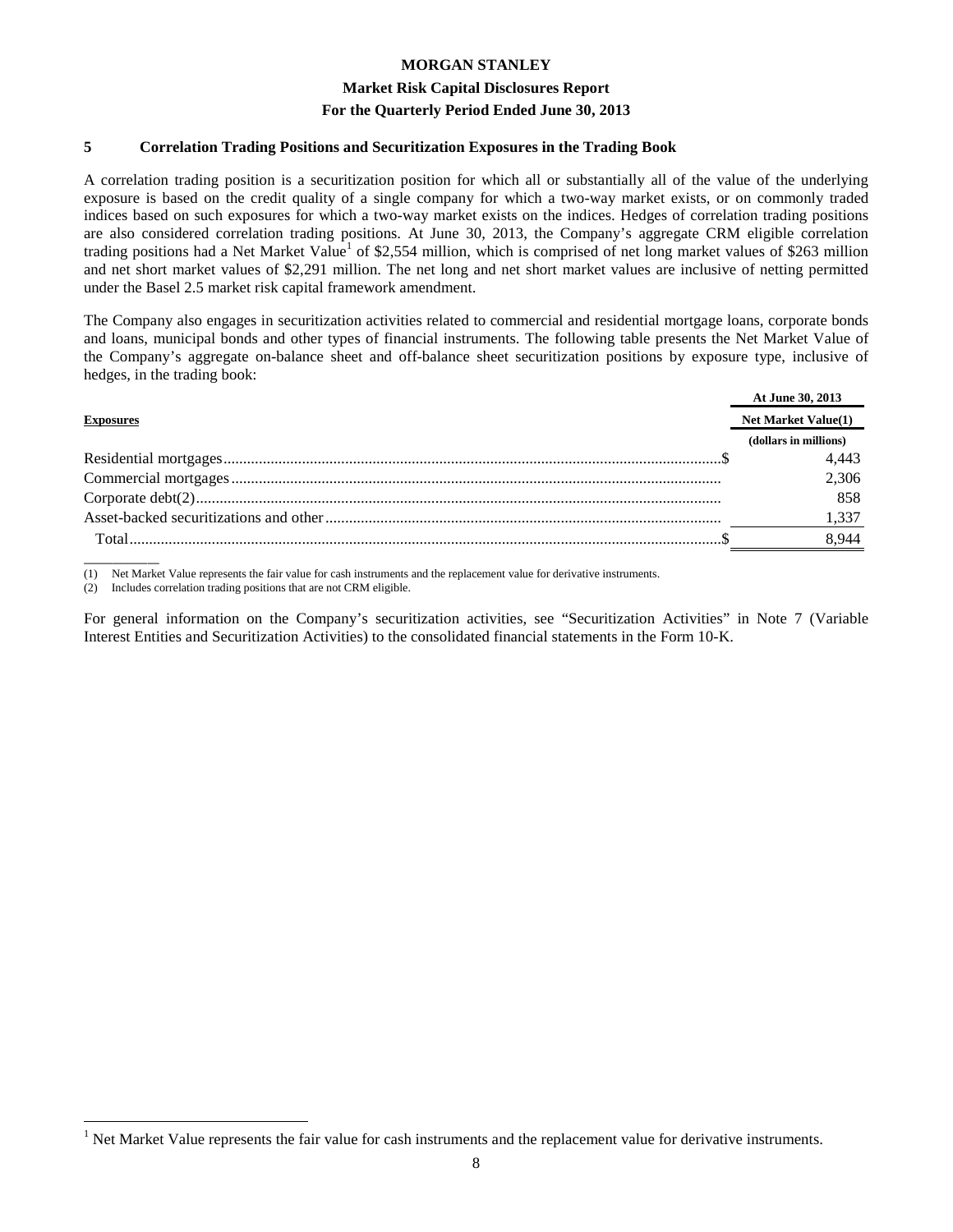#### **Market Risk Capital Disclosures Report**

#### **For the Quarterly Period Ended June 30, 2013**

#### **5 Correlation Trading Positions and Securitization Exposures in the Trading Book**

A correlation trading position is a securitization position for which all or substantially all of the value of the underlying exposure is based on the credit quality of a single company for which a two-way market exists, or on commonly traded indices based on such exposures for which a two-way market exists on the indices. Hedges of correlation trading positions are also considered correlation trading positions. At June 30, 2013, the Company's aggregate CRM eligible correlation trading positions had a Net Market Value<sup>1</sup> of \$2,554 million, which is comprised of net long market values of \$263 million and net short market values of \$2,291 million. The net long and net short market values are inclusive of netting permitted under the Basel 2.5 market risk capital framework amendment.

The Company also engages in securitization activities related to commercial and residential mortgage loans, corporate bonds and loans, municipal bonds and other types of financial instruments. The following table presents the Net Market Value of the Company's aggregate on-balance sheet and off-balance sheet securitization positions by exposure type, inclusive of hedges, in the trading book:

|                  | At June 30, 2013           |
|------------------|----------------------------|
| <b>Exposures</b> | <b>Net Market Value(1)</b> |
|                  | (dollars in millions)      |
|                  | 4,443                      |
|                  | 2,306                      |
|                  | 858                        |
|                  | 1,337                      |
|                  | 8.944                      |
|                  |                            |

(1) Net Market Value represents the fair value for cash instruments and the replacement value for derivative instruments.

(2) Includes correlation trading positions that are not CRM eligible.

<u>.</u>

For general information on the Company's securitization activities, see "Securitization Activities" in Note 7 (Variable Interest Entities and Securitization Activities) to the consolidated financial statements in the Form 10-K.

 $<sup>1</sup>$  Net Market Value represents the fair value for cash instruments and the replacement value for derivative instruments.</sup>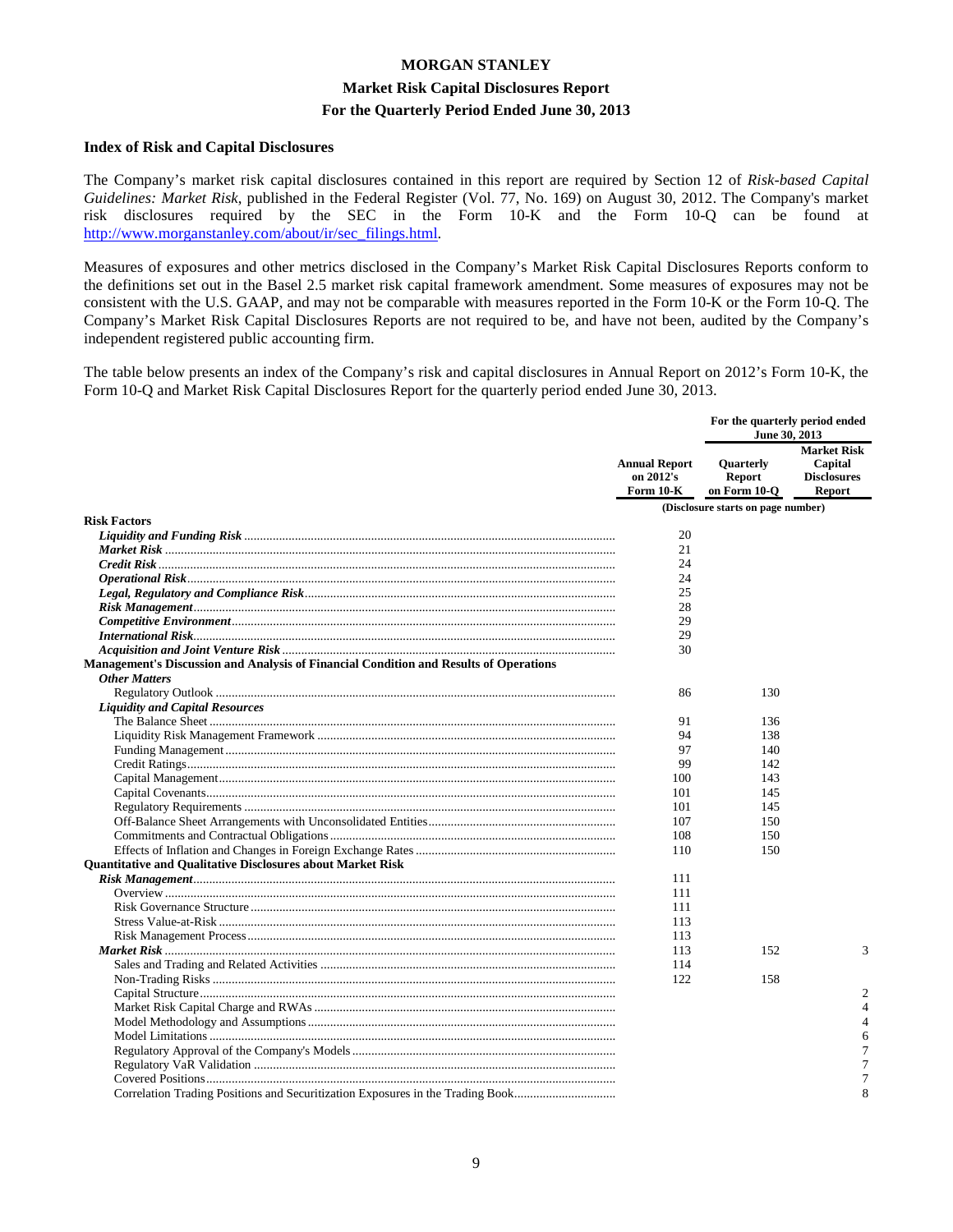#### **Market Risk Capital Disclosures Report**

#### **For the Quarterly Period Ended June 30, 2013**

#### **Index of Risk and Capital Disclosures**

The Company's market risk capital disclosures contained in this report are required by Section 12 of *Risk-based Capital Guidelines: Market Risk*, published in the Federal Register (Vol. 77, No. 169) on August 30, 2012. The Company's market risk disclosures required by the SEC in the Form 10-K and the Form 10-Q can be found at http://www.morganstanley.com/about/ir/sec\_filings.html.

Measures of exposures and other metrics disclosed in the Company's Market Risk Capital Disclosures Reports conform to the definitions set out in the Basel 2.5 market risk capital framework amendment. Some measures of exposures may not be consistent with the U.S. GAAP, and may not be comparable with measures reported in the Form 10-K or the Form 10-Q. The Company's Market Risk Capital Disclosures Reports are not required to be, and have not been, audited by the Company's independent registered public accounting firm.

The table below presents an index of the Company's risk and capital disclosures in Annual Report on 2012's Form 10-K, the Form 10-Q and Market Risk Capital Disclosures Report for the quarterly period ended June 30, 2013.

|                                                                                       | <b>Annual Report</b><br>on 2012's<br>Form 10-K | For the quarterly period ended<br>June 30, 2013 |                                                                      |
|---------------------------------------------------------------------------------------|------------------------------------------------|-------------------------------------------------|----------------------------------------------------------------------|
|                                                                                       |                                                | Quarterly<br><b>Report</b><br>on Form 10-Q      | <b>Market Risk</b><br>Capital<br><b>Disclosures</b><br><b>Report</b> |
|                                                                                       |                                                | (Disclosure starts on page number)              |                                                                      |
| <b>Risk Factors</b>                                                                   |                                                |                                                 |                                                                      |
|                                                                                       | 20                                             |                                                 |                                                                      |
|                                                                                       | 21                                             |                                                 |                                                                      |
|                                                                                       | 24                                             |                                                 |                                                                      |
|                                                                                       | 24                                             |                                                 |                                                                      |
|                                                                                       | 25                                             |                                                 |                                                                      |
|                                                                                       | 28                                             |                                                 |                                                                      |
|                                                                                       | 29                                             |                                                 |                                                                      |
|                                                                                       | 29                                             |                                                 |                                                                      |
|                                                                                       | 30                                             |                                                 |                                                                      |
| Management's Discussion and Analysis of Financial Condition and Results of Operations |                                                |                                                 |                                                                      |
| <b>Other Matters</b>                                                                  |                                                |                                                 |                                                                      |
|                                                                                       | 86                                             | 130                                             |                                                                      |
| <b>Liquidity and Capital Resources</b>                                                |                                                |                                                 |                                                                      |
|                                                                                       | 91                                             | 136                                             |                                                                      |
|                                                                                       | 94                                             | 138                                             |                                                                      |
|                                                                                       | 97<br>99                                       | 140                                             |                                                                      |
|                                                                                       |                                                | 142                                             |                                                                      |
|                                                                                       | 100                                            | 143                                             |                                                                      |
|                                                                                       | 101                                            | 145                                             |                                                                      |
|                                                                                       | 101                                            | 145                                             |                                                                      |
|                                                                                       | 107                                            | 150                                             |                                                                      |
|                                                                                       | 108                                            | 150                                             |                                                                      |
|                                                                                       | 110                                            | 150                                             |                                                                      |
| <b>Quantitative and Qualitative Disclosures about Market Risk</b>                     |                                                |                                                 |                                                                      |
|                                                                                       | 111                                            |                                                 |                                                                      |
|                                                                                       | 111                                            |                                                 |                                                                      |
|                                                                                       | 111                                            |                                                 |                                                                      |
|                                                                                       | 113                                            |                                                 |                                                                      |
|                                                                                       | 113                                            |                                                 |                                                                      |
|                                                                                       | 113                                            | 152                                             | 3                                                                    |
|                                                                                       | 114                                            |                                                 |                                                                      |
|                                                                                       | 122                                            | 158                                             |                                                                      |
|                                                                                       |                                                |                                                 | $\overline{2}$                                                       |
|                                                                                       |                                                |                                                 | $\overline{4}$                                                       |
|                                                                                       |                                                |                                                 | $\overline{4}$                                                       |
|                                                                                       |                                                |                                                 | 6                                                                    |
|                                                                                       |                                                |                                                 | 7                                                                    |
|                                                                                       |                                                |                                                 | 7                                                                    |
|                                                                                       |                                                |                                                 | 7                                                                    |
| Correlation Trading Positions and Securitization Exposures in the Trading Book        |                                                |                                                 | 8                                                                    |